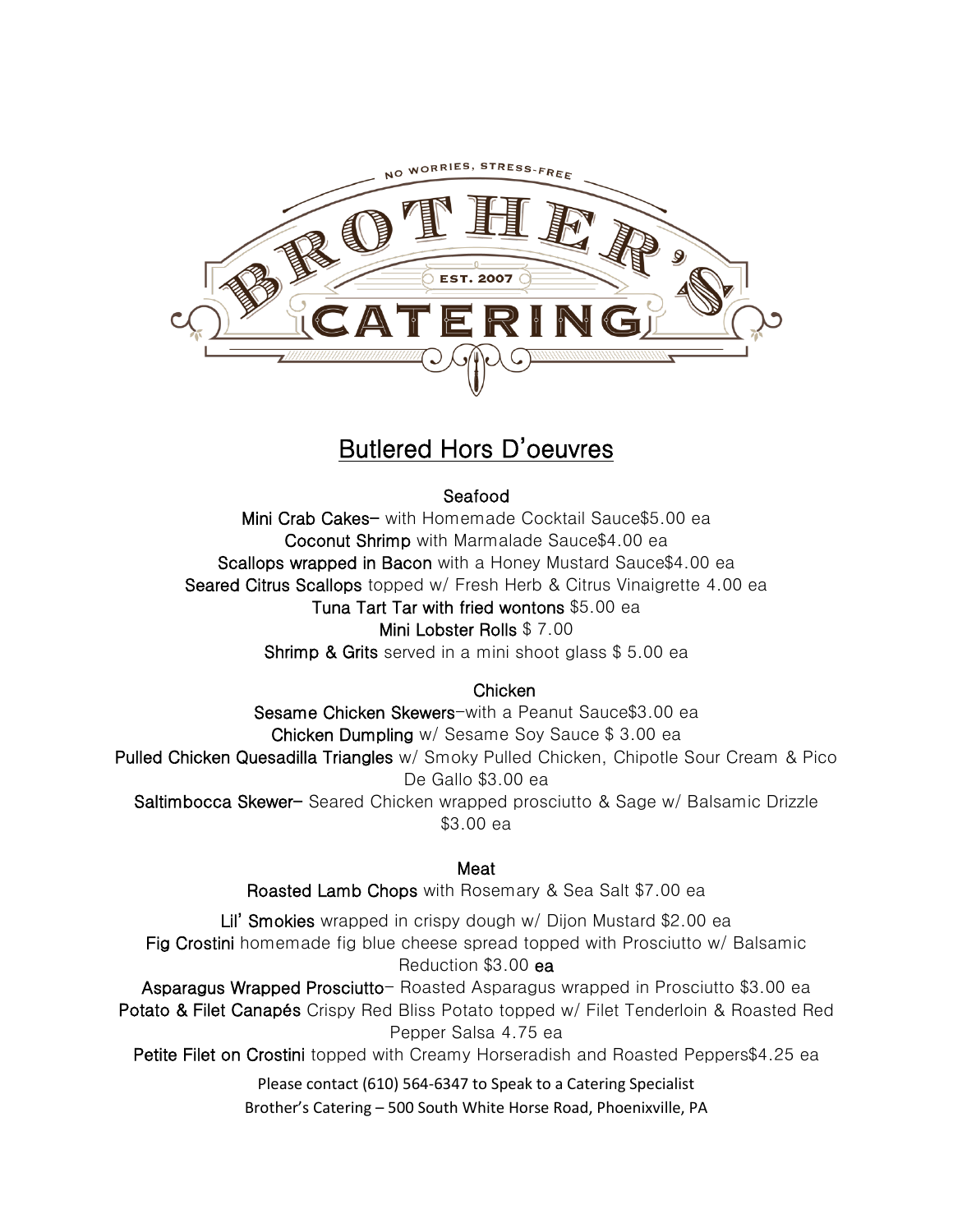

# Butlered Hors D'oeuvres

# Seafood

Mini Crab Cakes- with Homemade Cocktail Sauce\$5.00 ea Coconut Shrimp with Marmalade Sauce\$4.00 ea Scallops wrapped in Bacon with a Honey Mustard Sauce\$4.00 ea Seared Citrus Scallops topped w/ Fresh Herb & Citrus Vinaigrette 4.00 ea Tuna Tart Tar with fried wontons \$5.00 ea Mini Lobster Rolls \$ 7.00

Shrimp & Grits served in a mini shoot glass \$5.00 ea

### **Chicken**

Sesame Chicken Skewers-with a Peanut Sauce\$3.00 ea Chicken Dumpling w/ Sesame Soy Sauce \$ 3.00 ea Pulled Chicken Quesadilla Triangles w/ Smoky Pulled Chicken, Chipotle Sour Cream & Pico De Gallo \$3.00 ea Saltimbocca Skewer- Seared Chicken wrapped prosciutto & Sage w/ Balsamic Drizzle \$3.00 ea

#### Meat

Roasted Lamb Chops with Rosemary & Sea Salt \$7.00 ea

Lil' Smokies wrapped in crispy dough w/ Dijon Mustard \$2.00 ea Fig Crostini homemade fig blue cheese spread topped with Prosciutto w/ Balsamic Reduction \$3.00 ea Asparagus Wrapped Prosciutto- Roasted Asparagus wrapped in Prosciutto \$3.00 ea Potato & Filet Canapés Crispy Red Bliss Potato topped w/ Filet Tenderloin & Roasted Red Pepper Salsa 4.75 ea

Petite Filet on Crostini topped with Creamy Horseradish and Roasted Peppers\$4.25 ea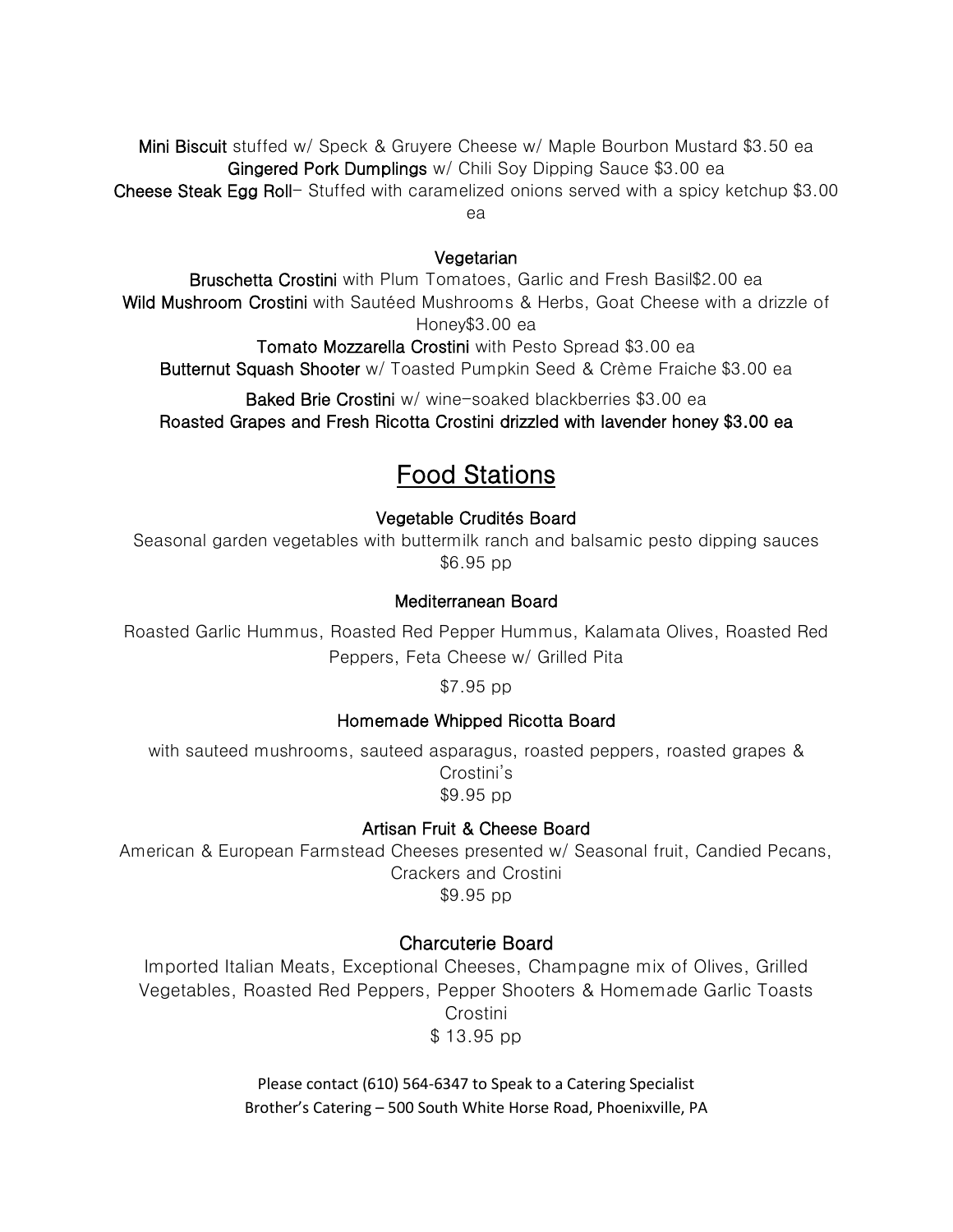Mini Biscuit stuffed w/ Speck & Gruyere Cheese w/ Maple Bourbon Mustard \$3.50 ea Gingered Pork Dumplings w/ Chili Soy Dipping Sauce \$3.00 ea Cheese Steak Egg Roll- Stuffed with caramelized onions served with a spicy ketchup \$3.00 ea

#### Vegetarian

Bruschetta Crostini with Plum Tomatoes, Garlic and Fresh Basil\$2.00 ea Wild Mushroom Crostini with Sautéed Mushrooms & Herbs, Goat Cheese with a drizzle of Honey\$3.00 ea

Tomato Mozzarella Crostini with Pesto Spread \$3.00 ea Butternut Squash Shooter w/ Toasted Pumpkin Seed & Crème Fraiche \$3.00 ea

Baked Brie Crostini w/ wine-soaked blackberries \$3.00 ea

Roasted Grapes and Fresh Ricotta Crostini drizzled with lavender honey \$3.00 ea

# Food Stations

Vegetable Crudités Board

Seasonal garden vegetables with buttermilk ranch and balsamic pesto dipping sauces \$6.95 pp

### Mediterranean Board

Roasted Garlic Hummus, Roasted Red Pepper Hummus, Kalamata Olives, Roasted Red Peppers, Feta Cheese w/ Grilled Pita

\$7.95 pp

#### Homemade Whipped Ricotta Board

with sauteed mushrooms, sauteed asparagus, roasted peppers, roasted grapes & Crostini's \$9.95 pp

#### Artisan Fruit & Cheese Board

American & European Farmstead Cheeses presented w/ Seasonal fruit, Candied Pecans, Crackers and Crostini \$9.95 pp

#### Charcuterie Board

Imported Italian Meats, Exceptional Cheeses, Champagne mix of Olives, Grilled Vegetables, Roasted Red Peppers, Pepper Shooters & Homemade Garlic Toasts Crostini \$ 13.95 pp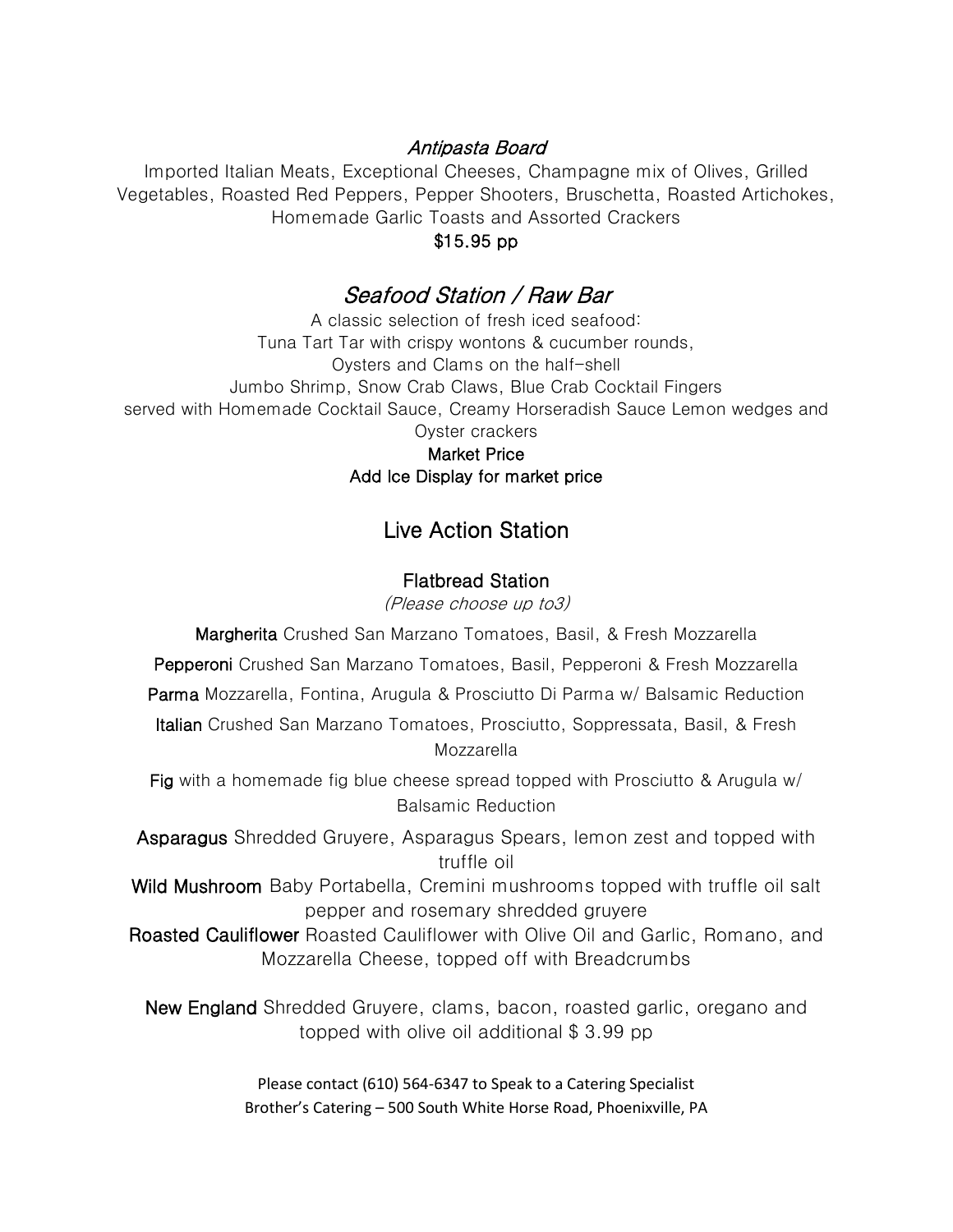# Antipasta Board

Imported Italian Meats, Exceptional Cheeses, Champagne mix of Olives, Grilled Vegetables, Roasted Red Peppers, Pepper Shooters, Bruschetta, Roasted Artichokes, Homemade Garlic Toasts and Assorted Crackers

### \$15.95 pp

# Seafood Station / Raw Bar

A classic selection of fresh iced seafood: Tuna Tart Tar with crispy wontons & cucumber rounds, Oysters and Clams on the half-shell Jumbo Shrimp, Snow Crab Claws, Blue Crab Cocktail Fingers served with Homemade Cocktail Sauce, Creamy Horseradish Sauce Lemon wedges and Oyster crackers

Market Price Add Ice Display for market price

# Live Action Station

### Flatbread Station

(Please choose up to3)

Margherita Crushed San Marzano Tomatoes, Basil, & Fresh Mozzarella

Pepperoni Crushed San Marzano Tomatoes, Basil, Pepperoni & Fresh Mozzarella

Parma Mozzarella, Fontina, Arugula & Prosciutto Di Parma w/ Balsamic Reduction

Italian Crushed San Marzano Tomatoes, Prosciutto, Soppressata, Basil, & Fresh Mozzarella

Fig with a homemade fig blue cheese spread topped with Prosciutto & Arugula w/ Balsamic Reduction

Asparagus Shredded Gruyere, Asparagus Spears, lemon zest and topped with truffle oil

Wild Mushroom Baby Portabella, Cremini mushrooms topped with truffle oil salt pepper and rosemary shredded gruyere

Roasted Cauliflower Roasted Cauliflower with Olive Oil and Garlic, Romano, and Mozzarella Cheese, topped off with Breadcrumbs

New England Shredded Gruyere, clams, bacon, roasted garlic, oregano and topped with olive oil additional \$ 3.99 pp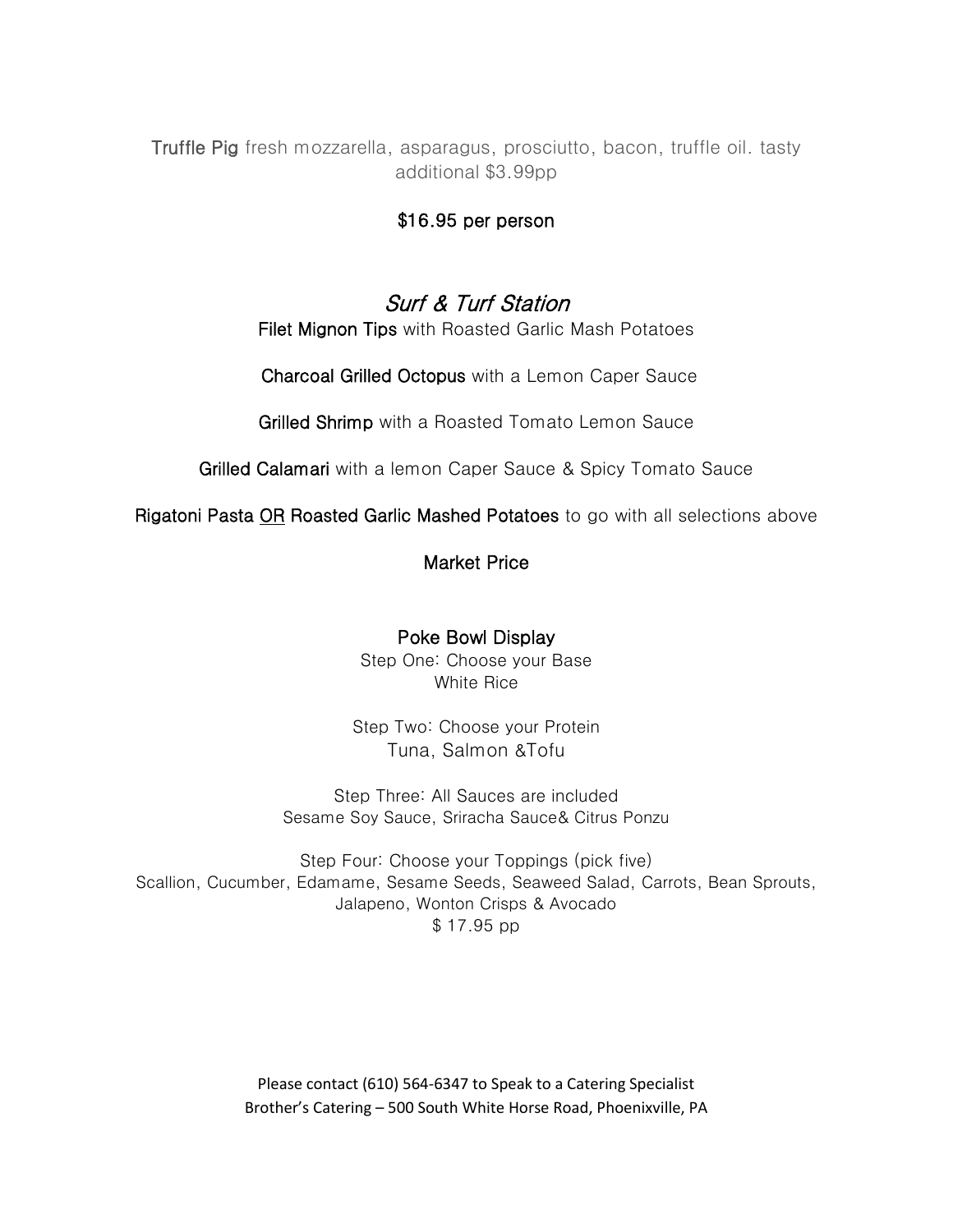Truffle Pig fresh mozzarella, asparagus, prosciutto, bacon, truffle oil. tasty additional \$3.99pp

## \$16.95 per person

# Surf & Turf Station

Filet Mignon Tips with Roasted Garlic Mash Potatoes

Charcoal Grilled Octopus with a Lemon Caper Sauce

Grilled Shrimp with a Roasted Tomato Lemon Sauce

Grilled Calamari with a lemon Caper Sauce & Spicy Tomato Sauce

Rigatoni Pasta OR Roasted Garlic Mashed Potatoes to go with all selections above

# Market Price

## Poke Bowl Display

Step One: Choose your Base White Rice

Step Two: Choose your Protein [Tuna](https://ordering.chownow.com/yelp/order/location/11059/M_131359_1003830?opportunity_token=7cca1a2d3c8b21c27c6b25bf6bfc7c80&yelp_site=www), [Salmon](https://ordering.chownow.com/yelp/order/location/11059/M_131359_1003830?opportunity_token=7cca1a2d3c8b21c27c6b25bf6bfc7c80&yelp_site=www) &[Tofu](https://ordering.chownow.com/yelp/order/location/11059/M_131359_1003830?opportunity_token=7cca1a2d3c8b21c27c6b25bf6bfc7c80&yelp_site=www)

Step Three: All Sauces are included [Sesame](https://ordering.chownow.com/yelp/order/location/11059/M_131359_1003830?opportunity_token=7cca1a2d3c8b21c27c6b25bf6bfc7c80&yelp_site=www) Soy Sauce, Sriracha Sauce& [Citrus Ponzu](https://ordering.chownow.com/yelp/order/location/11059/M_131359_1003830?opportunity_token=7cca1a2d3c8b21c27c6b25bf6bfc7c80&yelp_site=www)

Step Four: Choose your Toppings (pick five) [Scallion, Cucumber, Edamame, Sesame Seeds, Seaweed](https://ordering.chownow.com/yelp/order/location/11059/M_131359_1003830?opportunity_token=7cca1a2d3c8b21c27c6b25bf6bfc7c80&yelp_site=www) Salad, [Carrots](https://ordering.chownow.com/yelp/order/location/11059/M_131359_1003830?opportunity_token=7cca1a2d3c8b21c27c6b25bf6bfc7c80&yelp_site=www), [Bean Sprouts,](https://ordering.chownow.com/yelp/order/location/11059/M_131359_1003830?opportunity_token=7cca1a2d3c8b21c27c6b25bf6bfc7c80&yelp_site=www) [Jalapeno, Wonton Crisps](https://ordering.chownow.com/yelp/order/location/11059/M_131359_1003830?opportunity_token=7cca1a2d3c8b21c27c6b25bf6bfc7c80&yelp_site=www) & [Avocado](https://ordering.chownow.com/yelp/order/location/11059/M_131359_1003830?opportunity_token=7cca1a2d3c8b21c27c6b25bf6bfc7c80&yelp_site=www) \$ 17.95 pp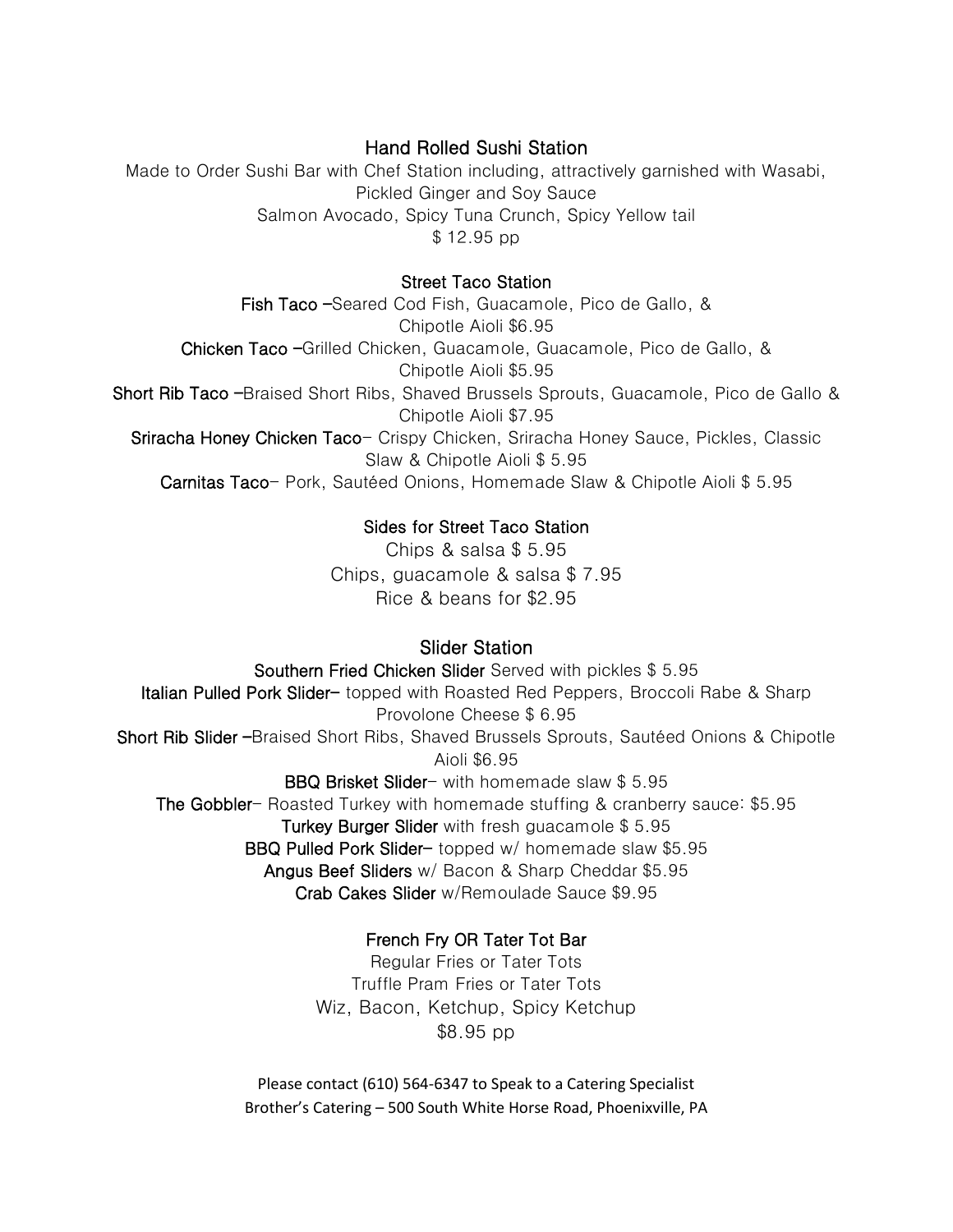# Hand Rolled Sushi Station

Made to Order Sushi Bar with Chef Station including, attractively garnished with Wasabi, Pickled Ginger and Soy Sauce Salmon Avocado, Spicy Tuna Crunch, Spicy Yellow tail \$ 12.95 pp

## Street Taco Station

Fish Taco –Seared Cod Fish, Guacamole, Pico de Gallo, & Chipotle Aioli \$6.95 Chicken Taco –Grilled Chicken, Guacamole, Guacamole, Pico de Gallo, & Chipotle Aioli \$5.95 Short Rib Taco –Braised Short Ribs, Shaved Brussels Sprouts, Guacamole, Pico de Gallo & Chipotle Aioli \$7.95 Sriracha Honey Chicken Taco- Crispy Chicken, Sriracha Honey Sauce, Pickles, Classic Slaw & Chipotle Aioli \$ 5.95 Carnitas Taco- Pork, Sautéed Onions, Homemade Slaw & Chipotle Aioli \$ 5.95

# Sides for Street Taco Station

Chips & salsa \$ 5.95 Chips, guacamole & salsa \$ 7.95 Rice & beans for \$2.95

# Slider Station

Southern Fried Chicken Slider Served with pickles \$ 5.95 Italian Pulled Pork Slider- topped with Roasted Red Peppers, Broccoli Rabe & Sharp Provolone Cheese \$ 6.95 Short Rib Slider –Braised Short Ribs, Shaved Brussels Sprouts, Sautéed Onions & Chipotle Aioli \$6.95 BBQ Brisket Slider- with homemade slaw \$ 5.95 The Gobbler- Roasted Turkey with homemade stuffing & cranberry sauce: \$5.95 Turkey Burger Slider with fresh guacamole \$ 5.95 BBQ Pulled Pork Slider- topped w/ homemade slaw \$5.95

Angus Beef Sliders w/ Bacon & Sharp Cheddar \$5.95

Crab Cakes Slider w/Remoulade Sauce \$9.95

# French Fry OR Tater Tot Bar

Regular Fries or Tater Tots Truffle Pram Fries or Tater Tots Wiz, Bacon, Ketchup, Spicy Ketchup \$8.95 pp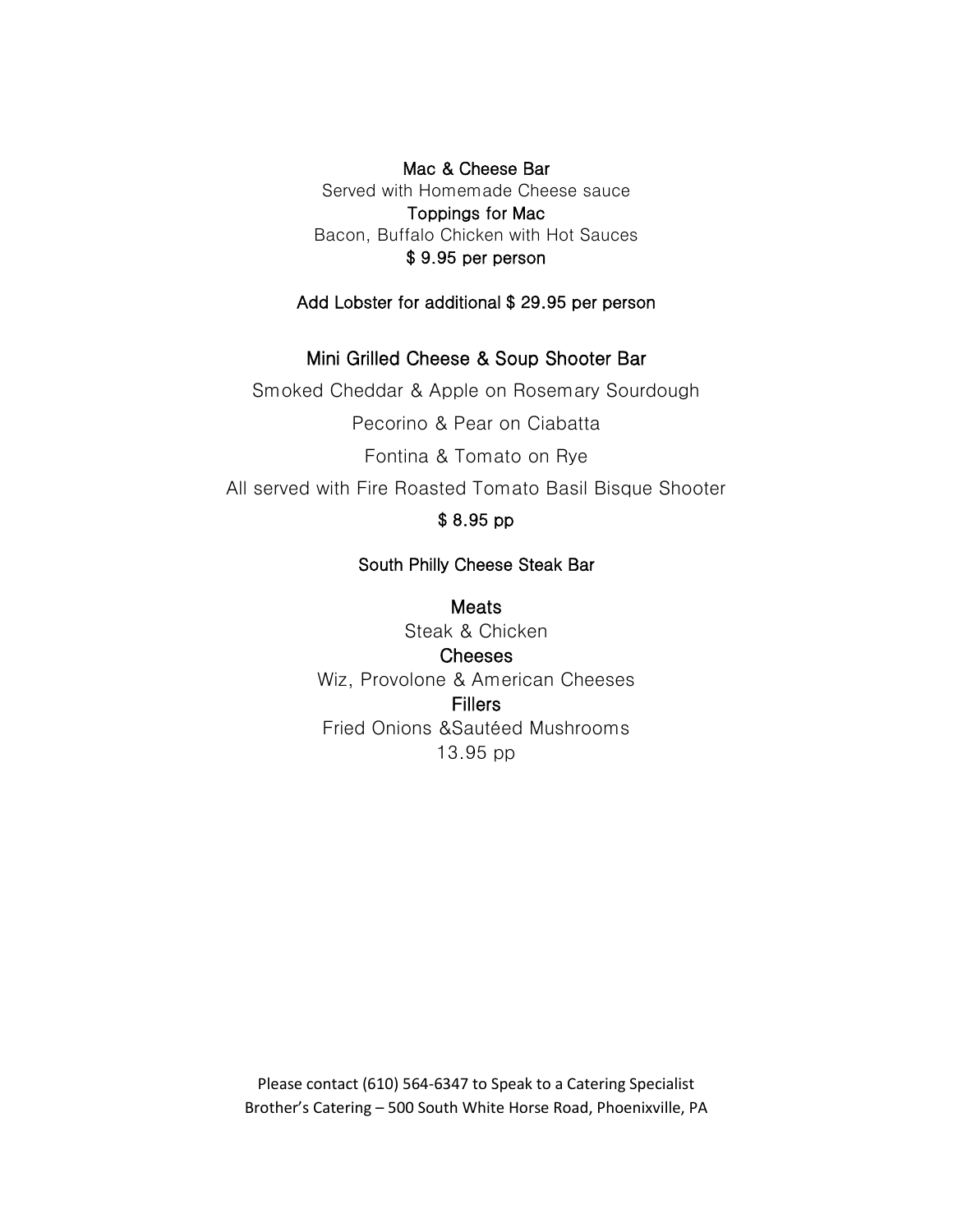Mac & Cheese Bar Served with Homemade Cheese sauce Toppings for Mac Bacon, Buffalo Chicken with Hot Sauces \$ 9.95 per person

Add Lobster for additional \$ 29.95 per person

## Mini Grilled Cheese & Soup Shooter Bar

Smoked Cheddar & Apple on Rosemary Sourdough Pecorino & Pear on Ciabatta Fontina & Tomato on Rye All served with Fire Roasted Tomato Basil Bisque Shooter

# \$ 8.95 pp

## South Philly Cheese Steak Bar

Meats Steak & Chicken Cheeses Wiz, Provolone & American Cheeses **Fillers** Fried Onions &Sautéed Mushrooms 13.95 pp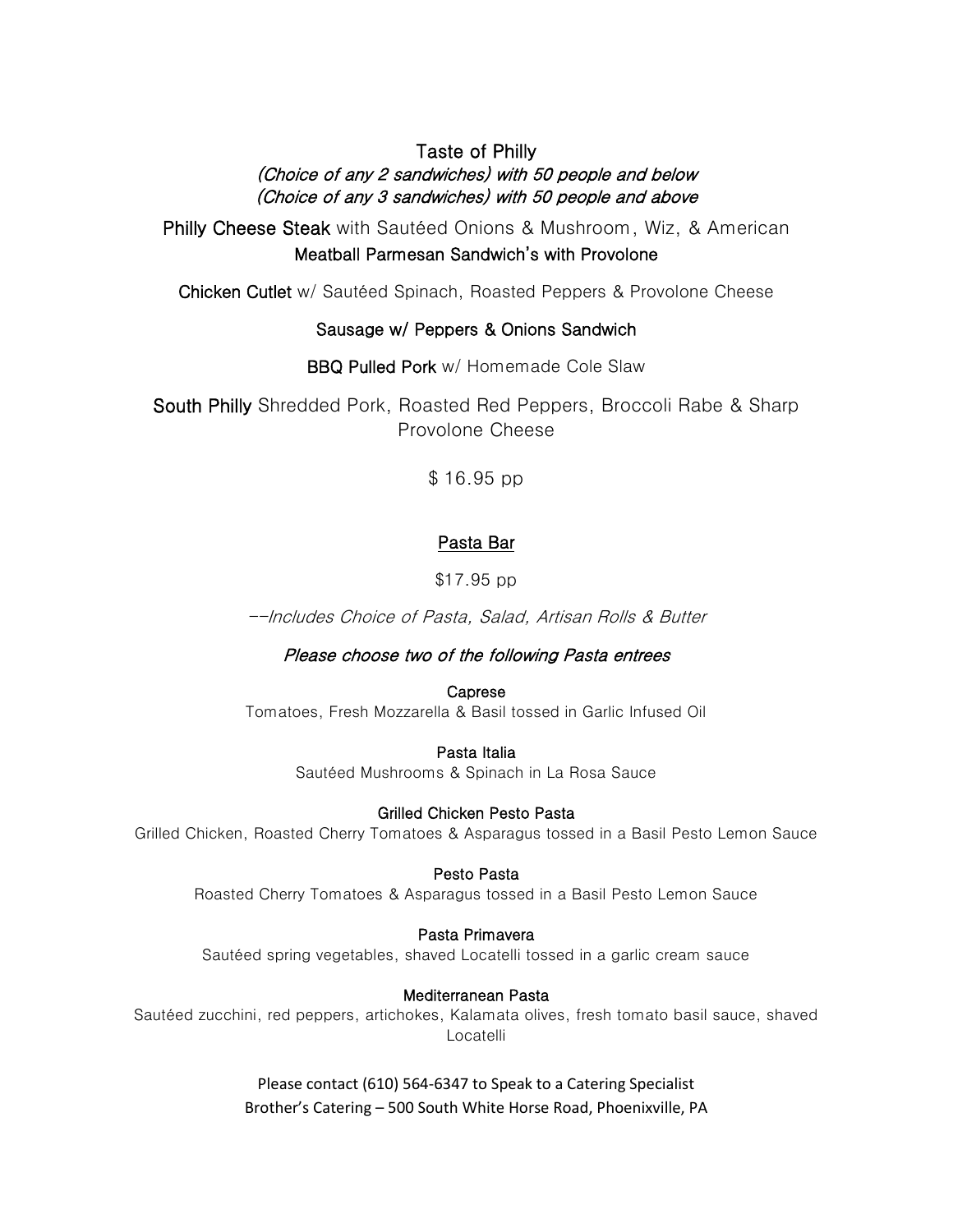# Taste of Philly (Choice of any 2 sandwiches) with 50 people and below (Choice of any 3 sandwiches) with 50 people and above

Philly Cheese Steak with Sautéed Onions & Mushroom, Wiz, & American Meatball Parmesan Sandwich's with Provolone

Chicken Cutlet w/ Sautéed Spinach, Roasted Peppers & Provolone Cheese

## Sausage w/ Peppers & Onions Sandwich

BBQ Pulled Pork w/ Homemade Cole Slaw

South Philly Shredded Pork, Roasted Red Peppers, Broccoli Rabe & Sharp Provolone Cheese

\$ 16.95 pp

## Pasta Bar

\$17.95 pp

--Includes Choice of Pasta, Salad, Artisan Rolls & Butter

Please choose two of the following Pasta entrees

Caprese Tomatoes, Fresh Mozzarella & Basil tossed in Garlic Infused Oil

> Pasta Italia Sautéed Mushrooms & Spinach in La Rosa Sauce

Grilled Chicken Pesto Pasta Grilled Chicken, Roasted Cherry Tomatoes & Asparagus tossed in a Basil Pesto Lemon Sauce

Pesto Pasta Roasted Cherry Tomatoes & Asparagus tossed in a Basil Pesto Lemon Sauce

Pasta Primavera Sautéed spring vegetables, shaved Locatelli tossed in a garlic cream sauce

Mediterranean Pasta Sautéed zucchini, red peppers, artichokes, Kalamata olives, fresh tomato basil sauce, shaved Locatelli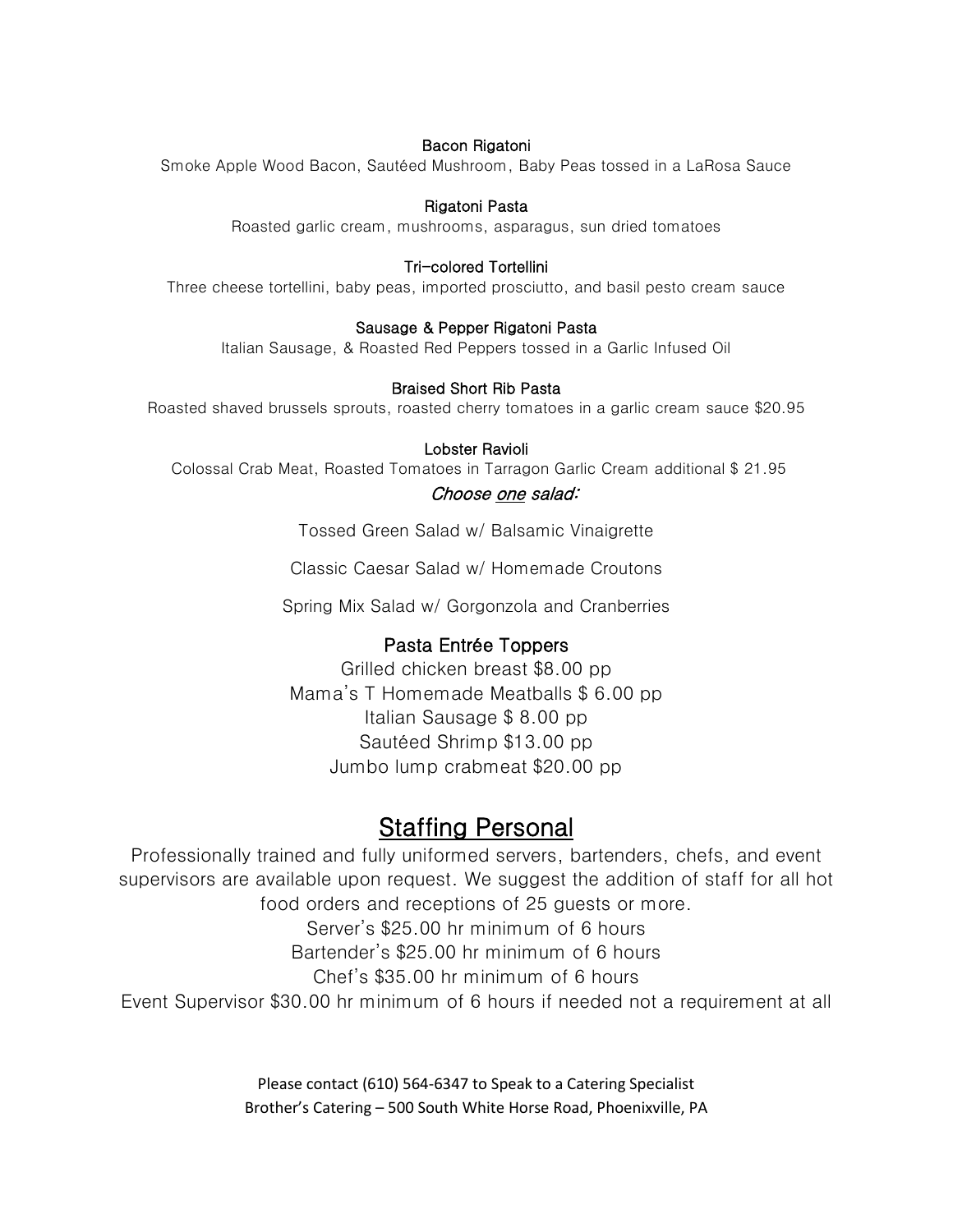#### Bacon Rigatoni

Smoke Apple Wood Bacon, Sautéed Mushroom, Baby Peas tossed in a LaRosa Sauce

#### Rigatoni Pasta

Roasted garlic cream, mushrooms, asparagus, sun dried tomatoes

#### Tri-colored Tortellini

Three cheese tortellini, baby peas, imported prosciutto, and basil pesto cream sauce

#### Sausage & Pepper Rigatoni Pasta

Italian Sausage, & Roasted Red Peppers tossed in a Garlic Infused Oil

#### Braised Short Rib Pasta

Roasted shaved brussels sprouts, roasted cherry tomatoes in a garlic cream sauce \$20.95

#### Lobster Ravioli

Colossal Crab Meat, Roasted Tomatoes in Tarragon Garlic Cream additional \$ 21.95 Choose one salad:

Tossed Green Salad w/ Balsamic Vinaigrette

Classic Caesar Salad w/ Homemade Croutons

Spring Mix Salad w/ Gorgonzola and Cranberries

#### Pasta Entrée Toppers

Grilled chicken breast \$8.00 pp Mama's T Homemade Meatballs \$ 6.00 pp Italian Sausage \$ 8.00 pp Sautéed Shrimp \$13.00 pp Jumbo lump crabmeat \$20.00 pp

# Staffing Personal

Professionally trained and fully uniformed servers, bartenders, chefs, and event supervisors are available upon request. We suggest the addition of staff for all hot food orders and receptions of 25 guests or more. Server's \$25.00 hr minimum of 6 hours Bartender's \$25.00 hr minimum of 6 hours

Chef's \$35.00 hr minimum of 6 hours

Event Supervisor \$30.00 hr minimum of 6 hours if needed not a requirement at all